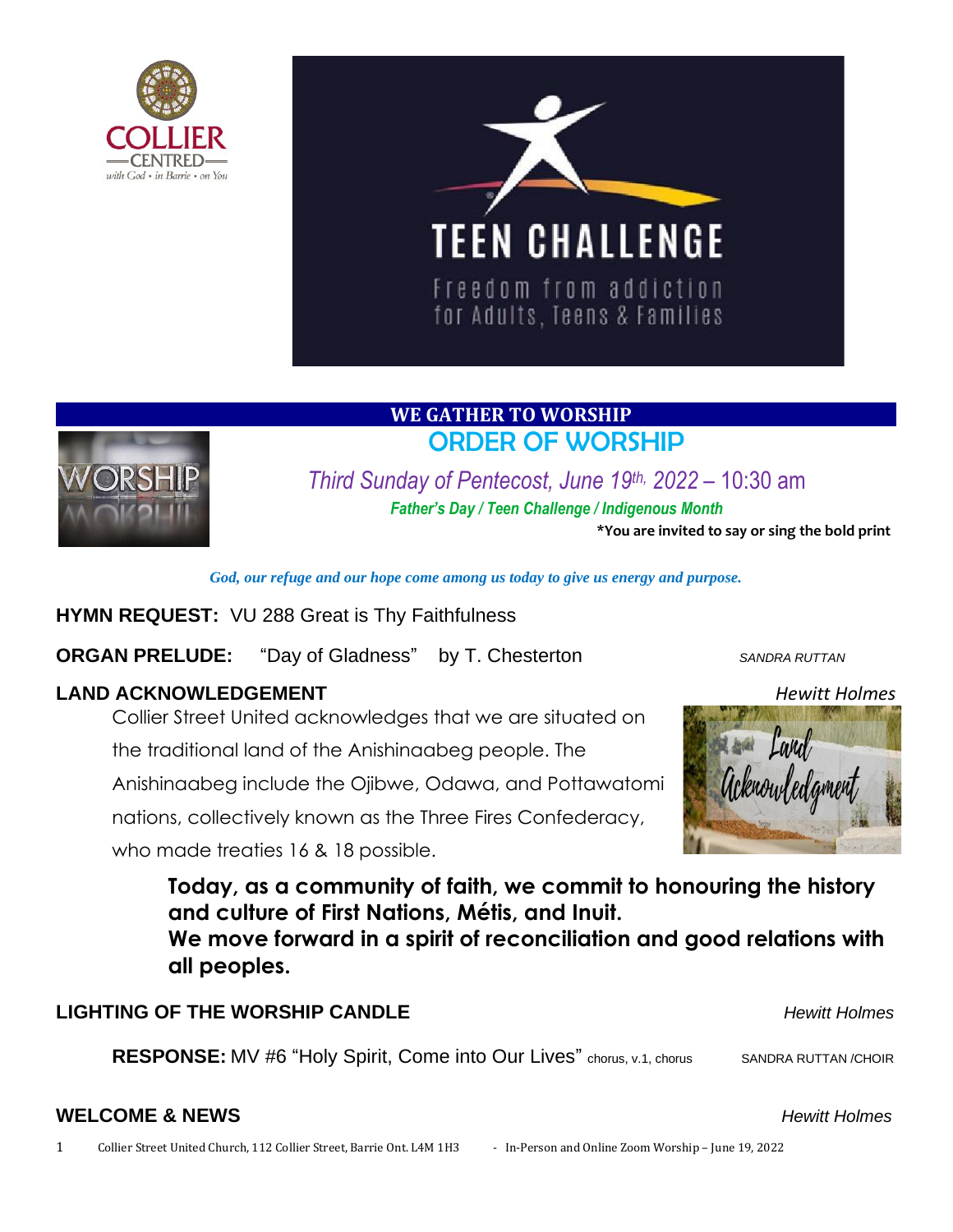



# **WE GATHER TO WORSHIP**  ORDER OF WORSHIP



*Third Sunday of Pentecost, June 19 th, 2022* – 10:30 am *Father's Day / Teen Challenge / Indigenous Month*

**\*You are invited to say or sing the bold print**

*God, our refuge and our hope come among us today to give us energy and purpose.*

**HYMN REQUEST:** VU 288 Great is Thy Faithfulness

**ORGAN PRELUDE:** "Day of Gladness" by T. Chesterton *SANDRA RUTTAN* 

## **LAND ACKNOWLEDGEMENT** *Hewitt Holmes*

Collier Street United acknowledges that we are situated on

the traditional land of the Anishinaabeg people. The

Anishinaabeg include the Ojibwe, Odawa, and Pottawatomi

nations, collectively known as the Three Fires Confederacy,

who made treaties 16 & 18 possible.





**Today, as a community of faith, we commit to honouring the history and culture of First Nations, Métis, and Inuit.**

**We move forward in a spirit of reconciliation and good relations with all peoples.**

## **LIGHTING OF THE WORSHIP CANDLE** *Hewitt Holmes*

**RESPONSE:** MV #6 "Holy Spirit, Come into Our Lives" chorus, v.1, chorus SANDRA RUTTAN /CHOIR

#### **WELCOME & NEWS** *Hewitt Holmes*

1 Collier Street United Church, 112 Collier Street, Barrie Ont. L4M 1H3 - In-Person and Online Zoom Worship – June 19, 2022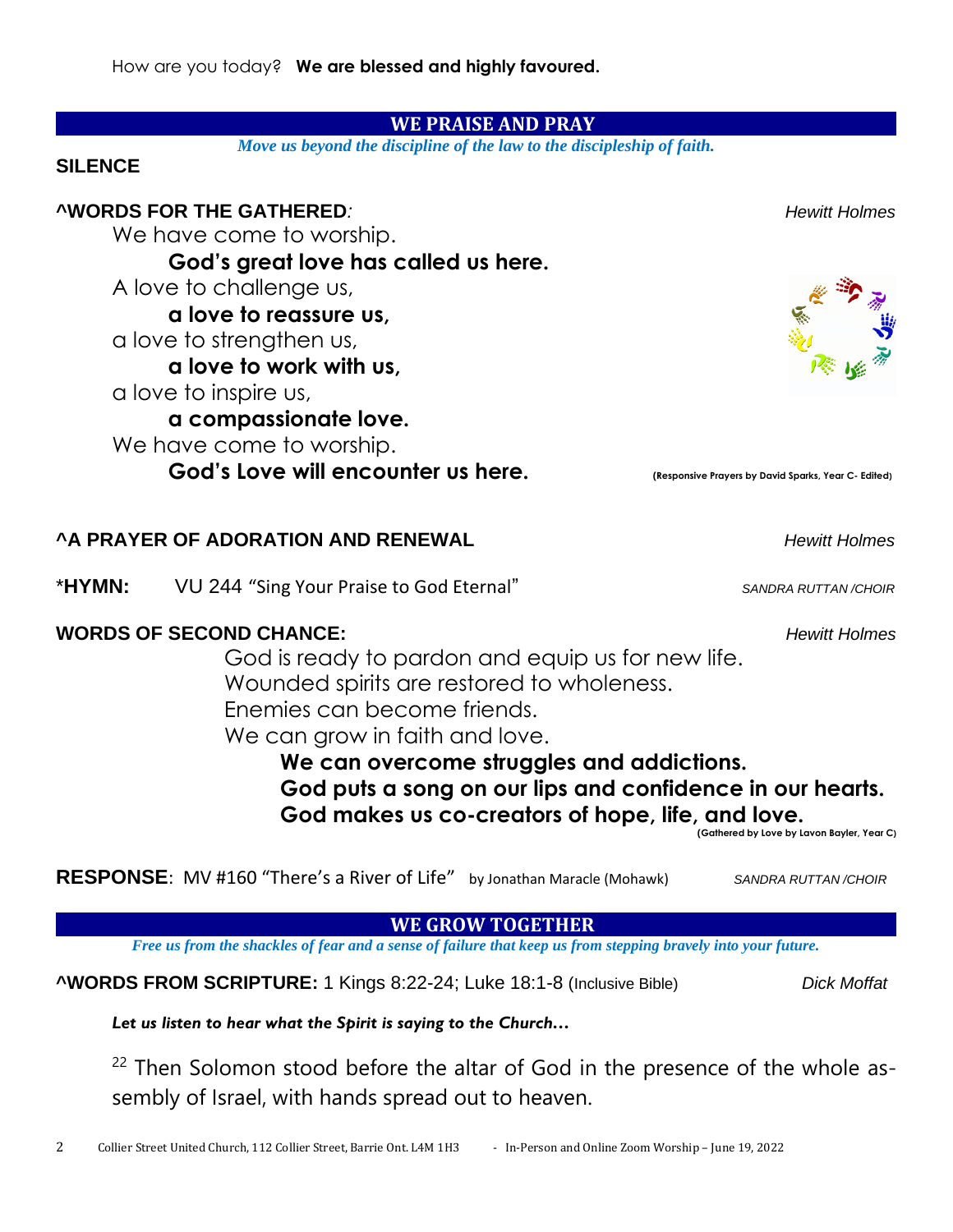#### **WE PRAISE AND PRAY**

*Move us beyond the discipline of the law to the discipleship of faith.*

#### **SILENCE**

#### **^WORDS FOR THE GATHERED***: Hewitt Holmes*

We have come to worship.

**God's great love has called us here.**

A love to challenge us,

**a love to reassure us,**

a love to strengthen us,

**a love to work with us,** 

a love to inspire us,

**a compassionate love.**

We have come to worship.

God's Love will encounter us here. *Complement and the sponsive Prayers by David Sparks, Year C- Edited***)** 

#### **^A PRAYER OF ADORATION AND RENEWAL** *Hewitt Holmes*

\***HYMN:** VU 244 "Sing Your Praise to God Eternal" *SANDRA RUTTAN /CHOIR*

#### **WORDS OF SECOND CHANCE:** *Hewitt Holmes*

God is ready to pardon and equip us for new life. Wounded spirits are restored to wholeness. Enemies can become friends. We can grow in faith and love.

**We can overcome struggles and addictions. God puts a song on our lips and confidence in our hearts. God makes us co-creators of hope, life, and love.**

**(Gathered by Love by Lavon Bayler, Year C)**

**RESPONSE**: MV #160 "There's a River of Life" by Jonathan Maracle (Mohawk)*SANDRA RUTTAN /CHOIR*

#### **WE GROW TOGETHER**

*Free us from the shackles of fear and a sense of failure that keep us from stepping bravely into your future.*

**^WORDS FROM SCRIPTURE:** 1 Kings 8:22-24; Luke 18:1-8 (Inclusive Bible) *Dick Moffat*

*Let us listen to hear what the Spirit is saying to the Church…*

<sup>22</sup> Then Solomon stood before the altar of God in the presence of the whole assembly of Israel, with hands spread out to heaven.

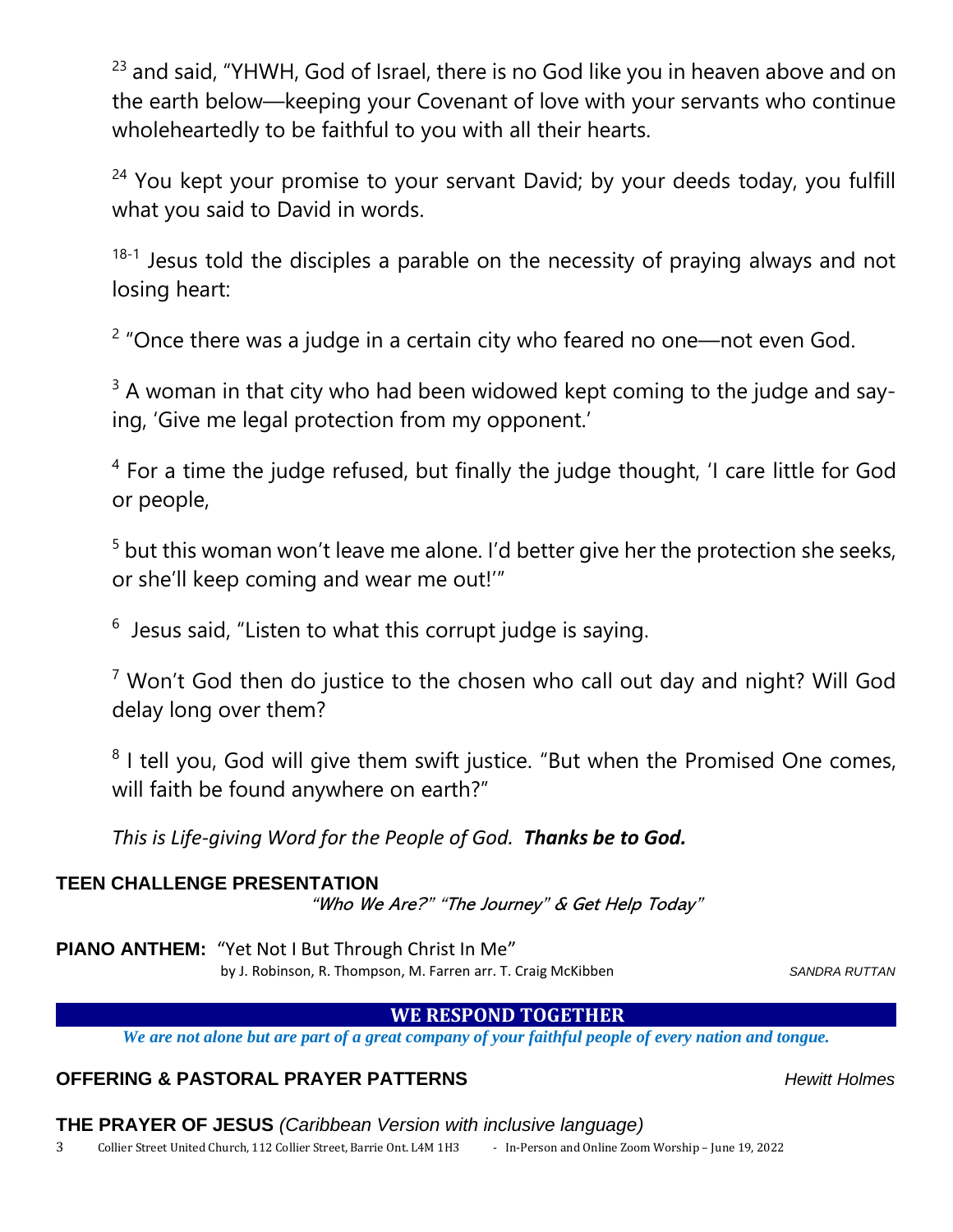<sup>23</sup> and said, "YHWH, God of Israel, there is no God like you in heaven above and on the earth below—keeping your Covenant of love with your servants who continue wholeheartedly to be faithful to you with all their hearts.

<sup>24</sup> You kept your promise to your servant David; by your deeds today, you fulfill what you said to David in words.

 $18-1$  Jesus told the disciples a parable on the necessity of praying always and not losing heart:

 $2$  "Once there was a judge in a certain city who feared no one—not even God.

 $3$  A woman in that city who had been widowed kept coming to the judge and saying, 'Give me legal protection from my opponent.'

<sup>4</sup> For a time the judge refused, but finally the judge thought, 'I care little for God or people,

<sup>5</sup> but this woman won't leave me alone. I'd better give her the protection she seeks, or she'll keep coming and wear me out!'"

 $6$  Jesus said, "Listen to what this corrupt judge is saying.

 $7$  Won't God then do justice to the chosen who call out day and night? Will God delay long over them?

<sup>8</sup> I tell you, God will give them swift justice. "But when the Promised One comes, will faith be found anywhere on earth?"

*This is Life-giving Word for the People of God. Thanks be to God.*

## **TEEN CHALLENGE PRESENTATION**

"Who We Are?" "The Journey" & Get Help Today"

**PIANO ANTHEM:** "Yet Not I But Through Christ In Me"

by J. Robinson, R. Thompson, M. Farren arr. T. Craig McKibben Sannessen SANDRA RUTTAN

## **WE RESPOND TOGETHER**

*We are not alone but are part of a great company of your faithful people of every nation and tongue.*

## **OFFERING & PASTORAL PRAYER PATTERNS** *Hewitt Holmes*

**THE PRAYER OF JESUS** *(Caribbean Version with inclusive language)*

3 Collier Street United Church, 112 Collier Street, Barrie Ont. L4M 1H3 - In-Person and Online Zoom Worship - June 19, 2022